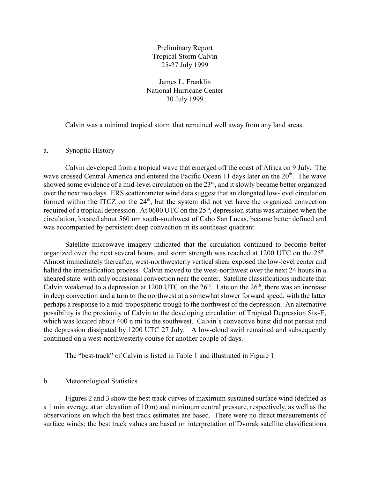Preliminary Report Tropical Storm Calvin 25-27 July 1999

James L. Franklin National Hurricane Center 30 July 1999

Calvin was a minimal tropical storm that remained well away from any land areas.

### a. Synoptic History

Calvin developed from a tropical wave that emerged off the coast of Africa on 9 July. The wave crossed Central America and entered the Pacific Ocean 11 days later on the 20<sup>th</sup>. The wave showed some evidence of a mid-level circulation on the  $23<sup>rd</sup>$ , and it slowly became better organized over the next two days. ERS scatterometer wind data suggest that an elongated low-level circulation formed within the ITCZ on the  $24<sup>th</sup>$ , but the system did not yet have the organized convection required of a tropical depression. At 0600 UTC on the  $25<sup>th</sup>$ , depression status was attained when the circulation, located about 560 nm south-southwest of Cabo San Lucas, became better defined and was accompanied by persistent deep convection in its southeast quadrant.

Satellite microwave imagery indicated that the circulation continued to become better organized over the next several hours, and storm strength was reached at 1200 UTC on the 25<sup>th</sup>. Almost immediately thereafter, west-northwesterly vertical shear exposed the low-level center and halted the intensification process. Calvin moved to the west-northwest over the next 24 hours in a sheared state with only occasional convection near the center. Satellite classifications indicate that Calvin weakened to a depression at 1200 UTC on the  $26<sup>th</sup>$ . Late on the  $26<sup>th</sup>$ , there was an increase in deep convection and a turn to the northwest at a somewhat slower forward speed, with the latter perhaps a response to a mid-tropospheric trough to the northwest of the depression. An alternative possibility is the proximity of Calvin to the developing circulation of Tropical Depression Six-E, which was located about 400 n mi to the southwest. Calvin's convective burst did not persist and the depression dissipated by 1200 UTC 27 July. A low-cloud swirl remained and subsequently continued on a west-northwesterly course for another couple of days.

The "best-track" of Calvin is listed in Table 1 and illustrated in Figure 1.

#### b. Meteorological Statistics

Figures 2 and 3 show the best track curves of maximum sustained surface wind (defined as a 1 min average at an elevation of 10 m) and minimum central pressure, respectively, as well as the observations on which the best track estimates are based. There were no direct measurements of surface winds; the best track values are based on interpretation of Dvorak satellite classifications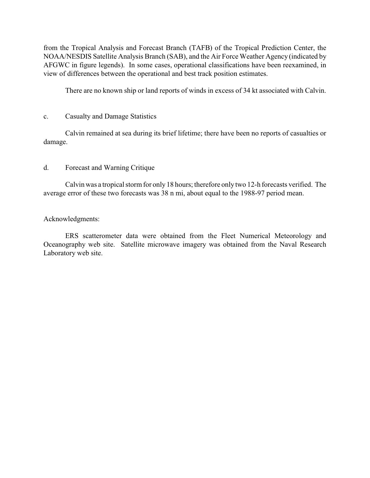from the Tropical Analysis and Forecast Branch (TAFB) of the Tropical Prediction Center, the NOAA/NESDIS Satellite Analysis Branch (SAB), and the Air Force Weather Agency (indicated by AFGWC in figure legends). In some cases, operational classifications have been reexamined, in view of differences between the operational and best track position estimates.

There are no known ship or land reports of winds in excess of 34 kt associated with Calvin.

# c. Casualty and Damage Statistics

Calvin remained at sea during its brief lifetime; there have been no reports of casualties or damage.

# d. Forecast and Warning Critique

Calvin was a tropical storm for only 18 hours; therefore only two 12-h forecasts verified. The average error of these two forecasts was 38 n mi, about equal to the 1988-97 period mean.

# Acknowledgments:

ERS scatterometer data were obtained from the Fleet Numerical Meteorology and Oceanography web site. Satellite microwave imagery was obtained from the Naval Research Laboratory web site.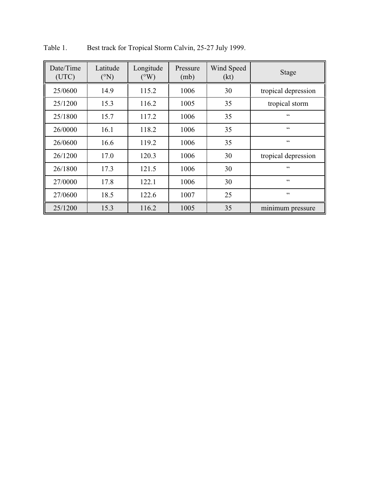| Date/Time<br>(UTC) | Latitude<br>$({}^{\circ}N)$ | Longitude<br>$({}^{\circ}W)$ | Pressure<br>(mb) | Wind Speed<br>(kt) | <b>Stage</b>        |
|--------------------|-----------------------------|------------------------------|------------------|--------------------|---------------------|
| 25/0600            | 14.9                        | 115.2                        | 1006             | 30                 | tropical depression |
| 25/1200            | 15.3                        | 116.2                        | 1005             | 35                 | tropical storm      |
| 25/1800            | 15.7                        | 117.2                        | 1006             | 35                 | 66                  |
| 26/0000            | 16.1                        | 118.2                        | 1006             | 35                 | 66                  |
| 26/0600            | 16.6                        | 119.2                        | 1006             | 35                 | $\zeta$ $\zeta$     |
| 26/1200            | 17.0                        | 120.3                        | 1006             | 30                 | tropical depression |
| 26/1800            | 17.3                        | 121.5                        | 1006             | 30                 | $\zeta\,\zeta$      |
| 27/0000            | 17.8                        | 122.1                        | 1006             | 30                 | $\zeta\,\zeta$      |
| 27/0600            | 18.5                        | 122.6                        | 1007             | 25                 | $\zeta\,\zeta$      |
| 25/1200            | 15.3                        | 116.2                        | 1005             | 35                 | minimum pressure    |

Table 1. Best track for Tropical Storm Calvin, 25-27 July 1999.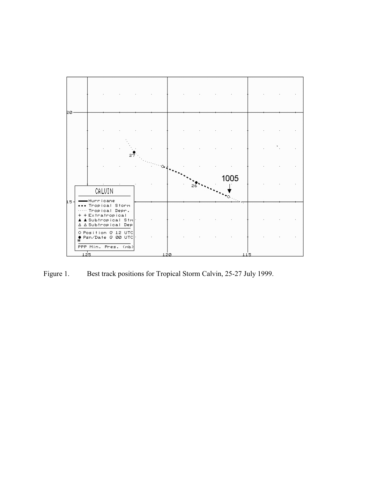

Figure 1. Best track positions for Tropical Storm Calvin, 25-27 July 1999.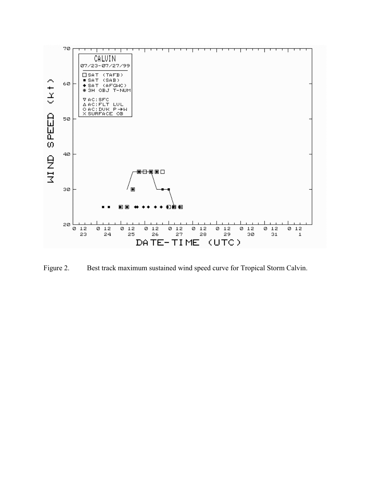

Figure 2. Best track maximum sustained wind speed curve for Tropical Storm Calvin.